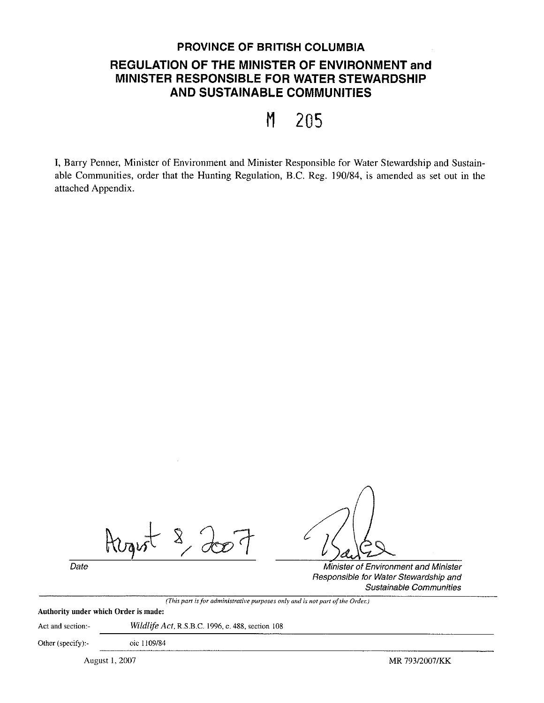# **PROVINCE OF BRITISH COLUMBIA REGULATION OF THE MINISTER OF ENVIRONMENT and MINISTER RESPONSIBLE FOR WATER STEWARDSHIP AND SUSTAINABLE COMMUNITIES**

M 205

I, Barry Penner, Minister of Environment and Minister Responsible for Water Stewardship and Sustainable Communities, order that the Hunting Regulation, B.C. Reg. 190/84, is amended as set out in the attached Appendix.

 $\begin{matrix} 8 \\ 10 \\ 20 \\ 30 \end{matrix}$ 

Date **Date Date** Minister of Environment and Minister of Environment and Minister Responsible for Water Stewardship and Sustainable Communities

*(This part is for administrative purposes only and is not part of the Order.)* 

# Authority under which Order is made:

Act and section:- *Wildlife Act.* R.S.B.C. !996, c. 488, section 108

Other (specify):- oic 1109/84

August I, 2007 **MR** 793/2007 /KK